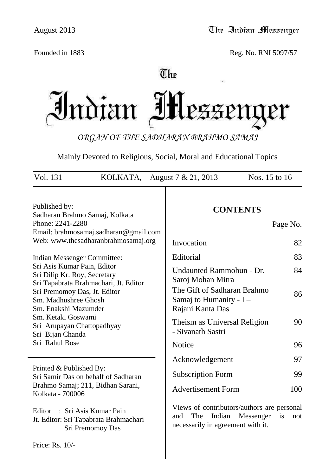Founded in 1883 Reg. No. RNI 5097/57

# $\overline{\mathbb{C}}$ he

Indian IH PZZ er

*ORGAN OF THE SADHARAN BRAHMO SAMAJ*

Mainly Devoted to Religious, Social, Moral and Educational Topics

| Vol. 131                                                                                                                                                                                         | KOLKATA, August $7 & 21,2013$                                                                                  | Nos. 15 to 16                                                                                                                                                            |                      |
|--------------------------------------------------------------------------------------------------------------------------------------------------------------------------------------------------|----------------------------------------------------------------------------------------------------------------|--------------------------------------------------------------------------------------------------------------------------------------------------------------------------|----------------------|
| Published by:<br>Phone: 2241-2280                                                                                                                                                                | Sadharan Brahmo Samaj, Kolkata<br>Email: brahmosamaj.sadharan@gmail.com<br>Web: www.thesadharanbrahmosamaj.org | <b>CONTENTS</b><br>Invocation                                                                                                                                            | Page No.<br>82       |
| Indian Messenger Committee:<br>Sri Asis Kumar Pain, Editor<br>Sri Dilip Kr. Roy, Secretary<br>Sri Premomoy Das, Jt. Editor<br>Sm. Madhushree Ghosh<br>Sm. Enakshi Mazumder<br>Sm. Ketaki Goswami | Sri Tapabrata Brahmachari, Jt. Editor                                                                          | Editorial<br>Undaunted Rammohun - Dr.<br>Saroj Mohan Mitra<br>The Gift of Sadharan Brahmo<br>Samaj to Humanity - I -<br>Rajani Kanta Das<br>Theism as Universal Religion | 83<br>84<br>86<br>90 |
| Sri Arupayan Chattopadhyay<br>Sri Bijan Chanda<br>Sri Rahul Bose                                                                                                                                 |                                                                                                                | - Sivanath Sastri<br>Notice                                                                                                                                              | 96                   |
| Printed & Published By:<br>Kolkata - 700006                                                                                                                                                      | Sri Samir Das on behalf of Sadharan<br>Brahmo Samaj; 211, Bidhan Sarani,                                       | Acknowledgement<br><b>Subscription Form</b><br><b>Advertisement Form</b>                                                                                                 | 97<br>99<br>100      |
| Editor                                                                                                                                                                                           | : Sri Asis Kumar Pain<br>Jt. Editor: Sri Tapabrata Brahmachari<br>Sri Premomoy Das                             | Views of contributors/authors are personal<br>Indian<br>Messenger<br>and<br>The<br>necessarily in agreement with it.                                                     | is<br>not            |
| Price: Rs. 10/-                                                                                                                                                                                  |                                                                                                                |                                                                                                                                                                          |                      |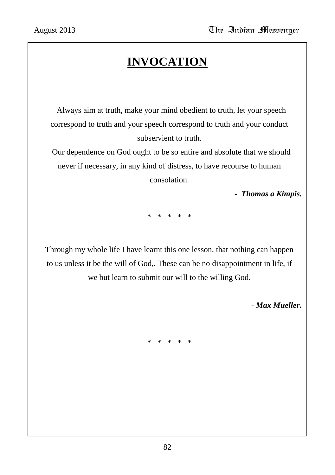# **INVOCATION**

 Always aim at truth, make your mind obedient to truth, let your speech correspond to truth and your speech correspond to truth and your conduct subservient to truth.

 Our dependence on God ought to be so entire and absolute that we should never if necessary, in any kind of distress, to have recourse to human consolation.

 *- Thomas a Kimpis.*

\* \* \* \* \*

Through my whole life I have learnt this one lesson, that nothing can happen to us unless it be the will of God,. These can be no disappointment in life, if we but learn to submit our will to the willing God.

 *- Max Mueller.*

\* \* \* \* \*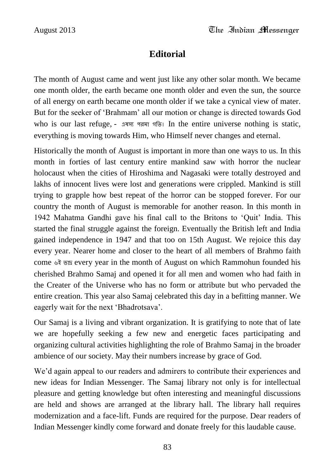## **Editorial**

The month of August came and went just like any other solar month. We became one month older, the earth became one month older and even the sun, the source of all energy on earth became one month older if we take a cynical view of mater. But for the seeker of "Brahmam" all our motion or change is directed towards God who is our last refuge, - এষস্য পরমা গতি। In the entire universe nothing is static, everything is moving towards Him, who Himself never changes and eternal.

Historically the month of August is important in more than one ways to us. In this month in forties of last century entire mankind saw with horror the nuclear holocaust when the cities of Hiroshima and Nagasaki were totally destroyed and lakhs of innocent lives were lost and generations were crippled. Mankind is still trying to grapple how best repeat of the horror can be stopped forever. For our country the month of August is memorable for another reason. In this month in 1942 Mahatma Gandhi gave his final call to the Britons to "Quit" India. This started the final struggle against the foreign. Eventually the British left and India gained independence in 1947 and that too on 15th August. We rejoice this day every year. Nearer home and closer to the heart of all members of Brahmo faith come ৬ই ভাদ্র every year in the month of August on which Rammohun founded his cherished Brahmo Samaj and opened it for all men and women who had faith in the Creater of the Universe who has no form or attribute but who pervaded the entire creation. This year also Samaj celebrated this day in a befitting manner. We eagerly wait for the next "Bhadrotsava".

Our Samaj is a living and vibrant organization. It is gratifying to note that of late we are hopefully seeking a few new and energetic faces participating and organizing cultural activities highlighting the role of Brahmo Samaj in the broader ambience of our society. May their numbers increase by grace of God.

We'd again appeal to our readers and admirers to contribute their experiences and new ideas for Indian Messenger. The Samaj library not only is for intellectual pleasure and getting knowledge but often interesting and meaningful discussions are held and shows are arranged at the library hall. The library hall requires modernization and a face-lift. Funds are required for the purpose. Dear readers of Indian Messenger kindly come forward and donate freely for this laudable cause.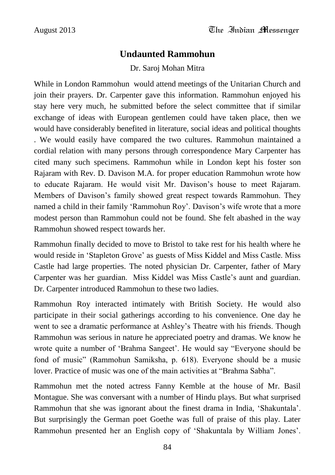#### **Undaunted Rammohun**

Dr. Saroj Mohan Mitra

While in London Rammohun would attend meetings of the Unitarian Church and join their prayers. Dr. Carpenter gave this information. Rammohun enjoyed his stay here very much, he submitted before the select committee that if similar exchange of ideas with European gentlemen could have taken place, then we would have considerably benefited in literature, social ideas and political thoughts . We would easily have compared the two cultures. Rammohun maintained a cordial relation with many persons through correspondence Mary Carpenter has cited many such specimens. Rammohun while in London kept his foster son Rajaram with Rev. D. Davison M.A. for proper education Rammohun wrote how to educate Rajaram. He would visit Mr. Davison's house to meet Rajaram. Members of Davison"s family showed great respect towards Rammohun. They named a child in their family 'Rammohun Roy'. Davison's wife wrote that a more modest person than Rammohun could not be found. She felt abashed in the way Rammohun showed respect towards her.

Rammohun finally decided to move to Bristol to take rest for his health where he would reside in "Stapleton Grove" as guests of Miss Kiddel and Miss Castle. Miss Castle had large properties. The noted physician Dr. Carpenter, father of Mary Carpenter was her guardian. Miss Kiddel was Miss Castle"s aunt and guardian. Dr. Carpenter introduced Rammohun to these two ladies.

Rammohun Roy interacted intimately with British Society. He would also participate in their social gatherings according to his convenience. One day he went to see a dramatic performance at Ashley"s Theatre with his friends. Though Rammohun was serious in nature he appreciated poetry and dramas. We know he wrote quite a number of "Brahma Sangeet". He would say "Everyone should be fond of music" (Rammohun Samiksha, p. 618). Everyone should be a music lover. Practice of music was one of the main activities at "Brahma Sabha".

Rammohun met the noted actress Fanny Kemble at the house of Mr. Basil Montague. She was conversant with a number of Hindu plays. But what surprised Rammohun that she was ignorant about the finest drama in India, "Shakuntala". But surprisingly the German poet Goethe was full of praise of this play. Later Rammohun presented her an English copy of "Shakuntala by William Jones".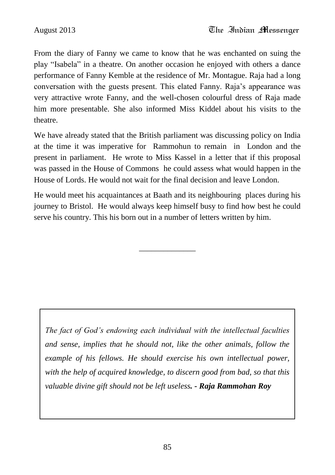From the diary of Fanny we came to know that he was enchanted on suing the play "Isabela" in a theatre. On another occasion he enjoyed with others a dance performance of Fanny Kemble at the residence of Mr. Montague. Raja had a long conversation with the guests present. This elated Fanny. Raja"s appearance was very attractive wrote Fanny, and the well-chosen colourful dress of Raja made him more presentable. She also informed Miss Kiddel about his visits to the theatre.

We have already stated that the British parliament was discussing policy on India at the time it was imperative for Rammohun to remain in London and the present in parliament. He wrote to Miss Kassel in a letter that if this proposal was passed in the House of Commons he could assess what would happen in the House of Lords. He would not wait for the final decision and leave London.

He would meet his acquaintances at Baath and its neighbouring places during his journey to Bristol. He would always keep himself busy to find how best he could serve his country. This his born out in a number of letters written by him.

\_\_\_\_\_\_\_\_\_\_\_\_\_\_

*The fact of God's endowing each individual with the intellectual faculties and sense, implies that he should not, like the other animals, follow the example of his fellows. He should exercise his own intellectual power, with the help of acquired knowledge, to discern good from bad, so that this valuable divine gift should not be left useless. - Raja Rammohan Roy*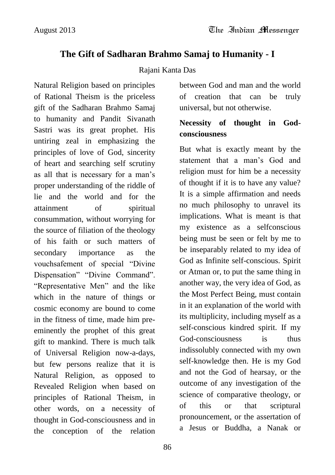## **The Gift of Sadharan Brahmo Samaj to Humanity - I**

#### Rajani Kanta Das

Natural Religion based on principles of Rational Theism is the priceless gift of the Sadharan Brahmo Samaj to humanity and Pandit Sivanath Sastri was its great prophet. His untiring zeal in emphasizing the principles of love of God, sincerity of heart and searching self scrutiny as all that is necessary for a man"s proper understanding of the riddle of lie and the world and for the attainment of spiritual consummation, without worrying for the source of filiation of the theology of his faith or such matters of secondary importance as the vouchsafement of special "Divine Dispensation" "Divine Command". "Representative Men" and the like which in the nature of things or cosmic economy are bound to come in the fitness of time, made him preeminently the prophet of this great gift to mankind. There is much talk of Universal Religion now-a-days, but few persons realize that it is Natural Religion, as opposed to Revealed Religion when based on principles of Rational Theism, in other words, on a necessity of thought in God-consciousness and in the conception of the relation

between God and man and the world of creation that can be truly universal, but not otherwise.

### **Necessity of thought in Godconsciousness**

But what is exactly meant by the statement that a man"s God and religion must for him be a necessity of thought if it is to have any value? It is a simple affirmation and needs no much philosophy to unravel its implications. What is meant is that my existence as a selfconscious being must be seen or felt by me to be inseparably related to my idea of God as Infinite self-conscious. Spirit or Atman or, to put the same thing in another way, the very idea of God, as the Most Perfect Being, must contain in it an explanation of the world with its multiplicity, including myself as a self-conscious kindred spirit. If my God-consciousness is thus indissolubly connected with my own self-knowledge then. He is my God and not the God of hearsay, or the outcome of any investigation of the science of comparative theology, or of this or that scriptural pronouncement, or the assertation of a Jesus or Buddha, a Nanak or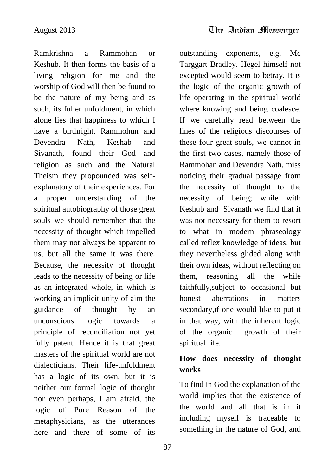outstanding exponents, e.g. Mc

Ramkrishna a Rammohan or Keshub. It then forms the basis of a living religion for me and the worship of God will then be found to be the nature of my being and as such, its fuller unfoldment, in which alone lies that happiness to which I have a birthright. Rammohun and Devendra Nath, Keshab and Sivanath, found their God and religion as such and the Natural Theism they propounded was selfexplanatory of their experiences. For a proper understanding of the spiritual autobiography of those great souls we should remember that the necessity of thought which impelled them may not always be apparent to us, but all the same it was there. Because, the necessity of thought leads to the necessity of being or life as an integrated whole, in which is working an implicit unity of aim-the guidance of thought by an unconscious logic towards a principle of reconciliation not yet fully patent. Hence it is that great masters of the spiritual world are not dialecticians. Their life-unfoldment has a logic of its own, but it is neither our formal logic of thought nor even perhaps, I am afraid, the logic of Pure Reason of the metaphysicians, as the utterances here and there of some of its

Targgart Bradley. Hegel himself not excepted would seem to betray. It is the logic of the organic growth of life operating in the spiritual world where knowing and being coalesce. If we carefully read between the lines of the religious discourses of these four great souls, we cannot in the first two cases, namely those of Rammohan and Devendra Nath, miss noticing their gradual passage from the necessity of thought to the necessity of being; while with Keshub and Sivanath we find that it was not necessary for them to resort to what in modern phraseology called reflex knowledge of ideas, but they nevertheless glided along with their own ideas, without reflecting on them, reasoning all the while faithfully,subject to occasional but honest aberrations in matters secondary,if one would like to put it in that way, with the inherent logic of the organic growth of their spiritual life. **How does necessity of thought works** To find in God the explanation of the

world implies that the existence of the world and all that is in it including myself is traceable to something in the nature of God, and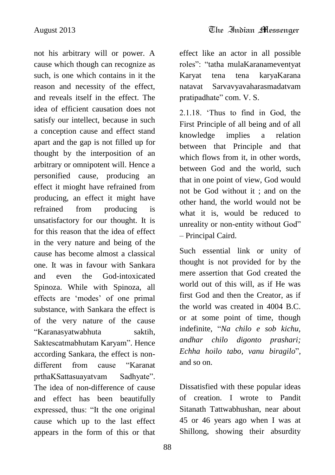not his arbitrary will or power. A cause which though can recognize as such, is one which contains in it the reason and necessity of the effect, and reveals itself in the effect. The idea of efficient causation does not satisfy our intellect, because in such a conception cause and effect stand apart and the gap is not filled up for thought by the interposition of an arbitrary or omnipotent will. Hence a personified cause, producing an effect it mioght have refrained from producing, an effect it might have refrained from producing is unsatisfactory for our thought. It is for this reason that the idea of effect in the very nature and being of the cause has become almost a classical one. It was in favour with Sankara and even the God-intoxicated Spinoza. While with Spinoza, all effects are "modes" of one primal substance, with Sankara the effect is of the very nature of the cause "Karanasyatwabhuta saktih, Saktescatmabhutam Karyam". Hence according Sankara, the effect is nondifferent from cause "Karanat prthaKSattasuayatvam Sadhyate". The idea of non-difference of cause and effect has been beautifully expressed, thus: "It the one original cause which up to the last effect appears in the form of this or that

effect like an actor in all possible roles": "tatha mulaKaranameventyat Karyat tena tena karyaKarana natavat Sarvavyavaharasmadatvam pratipadhate" com. V. S.

2.1.18. "Thus to find in God, the First Principle of all being and of all knowledge implies a relation between that Principle and that which flows from it, in other words, between God and the world, such that in one point of view, God would not be God without it ; and on the other hand, the world would not be what it is, would be reduced to unreality or non-entity without God" – Principal Caird.

Such essential link or unity of thought is not provided for by the mere assertion that God created the world out of this will, as if He was first God and then the Creator, as if the world was created in 4004 B.C. or at some point of time, though indefinite, "*Na chilo e sob kichu, andhar chilo digonto prashari; Echha hoilo tabo, vanu biragilo*", and so on.

Dissatisfied with these popular ideas of creation. I wrote to Pandit Sitanath Tattwabhushan, near about 45 or 46 years ago when I was at Shillong, showing their absurdity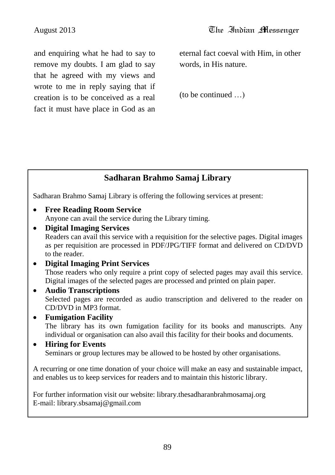and enquiring what he had to say to remove my doubts. I am glad to say that he agreed with my views and wrote to me in reply saying that if creation is to be conceived as a real fact it must have place in God as an eternal fact coeval with Him, in other words, in His nature.

(to be continued …)

## **Sadharan Brahmo Samaj Library**

Sadharan Brahmo Samaj Library is offering the following services at present:

- **Free Reading Room Service** Anyone can avail the service during the Library timing.
- **Digital Imaging Services** Readers can avail this service with a requisition for the selective pages. Digital images as per requisition are processed in PDF/JPG/TIFF format and delivered on CD/DVD to the reader.
- **Digital Imaging Print Services** Those readers who only require a print copy of selected pages may avail this service. Digital images of the selected pages are processed and printed on plain paper.
- **Audio Transcriptions** Selected pages are recorded as audio transcription and delivered to the reader on CD/DVD in MP3 format.
- **Fumigation Facility** The library has its own fumigation facility for its books and manuscripts. Any individual or organisation can also avail this facility for their books and documents.

#### **Hiring for Events** Seminars or group lectures may be allowed to be hosted by other organisations.

A recurring or one time donation of your choice will make an easy and sustainable impact, and enables us to keep services for readers and to maintain this historic library.

For further information visit our website: library.thesadharanbrahmosamaj.org E-mail: library.sbsamaj@gmail.com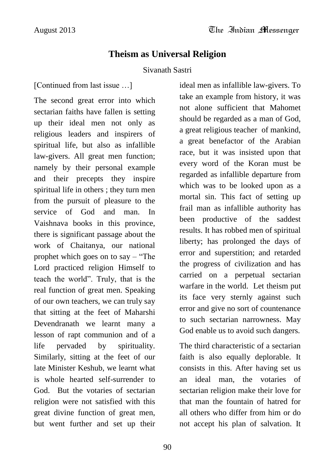### **Theism as Universal Religion**

#### Sivanath Sastri

[Continued from last issue …]

The second great error into which sectarian faiths have fallen is setting up their ideal men not only as religious leaders and inspirers of spiritual life, but also as infallible law-givers. All great men function; namely by their personal example and their precepts they inspire spiritual life in others ; they turn men from the pursuit of pleasure to the service of God and man. In Vaishnava books in this province, there is significant passage about the work of Chaitanya, our national prophet which goes on to say – "The Lord practiced religion Himself to teach the world". Truly, that is the real function of great men. Speaking of our own teachers, we can truly say that sitting at the feet of Maharshi Devendranath we learnt many a lesson of rapt communion and of a life pervaded by spirituality. Similarly, sitting at the feet of our late Minister Keshub, we learnt what is whole hearted self-surrender to God. But the votaries of sectarian religion were not satisfied with this great divine function of great men, but went further and set up their

ideal men as infallible law-givers. To take an example from history, it was not alone sufficient that Mahomet should be regarded as a man of God, a great religious teacher of mankind, a great benefactor of the Arabian race, but it was insisted upon that every word of the Koran must be regarded as infallible departure from which was to be looked upon as a mortal sin. This fact of setting up frail man as infallible authority has been productive of the saddest results. It has robbed men of spiritual liberty; has prolonged the days of error and superstition; and retarded the progress of civilization and has carried on a perpetual sectarian warfare in the world. Let theism put its face very sternly against such error and give no sort of countenance to such sectarian narrowness. May God enable us to avoid such dangers.

The third characteristic of a sectarian faith is also equally deplorable. It consists in this. After having set us an ideal man, the votaries of sectarian religion make their love for that man the fountain of hatred for all others who differ from him or do not accept his plan of salvation. It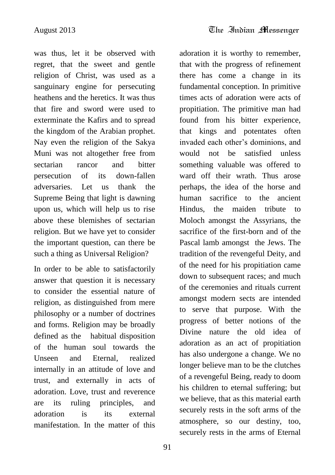was thus, let it be observed with regret, that the sweet and gentle religion of Christ, was used as a sanguinary engine for persecuting heathens and the heretics. It was thus that fire and sword were used to exterminate the Kafirs and to spread the kingdom of the Arabian prophet. Nay even the religion of the Sakya Muni was not altogether free from sectarian rancor and bitter persecution of its down-fallen adversaries. Let us thank the Supreme Being that light is dawning upon us, which will help us to rise above these blemishes of sectarian religion. But we have yet to consider the important question, can there be such a thing as Universal Religion?

In order to be able to satisfactorily answer that question it is necessary to consider the essential nature of religion, as distinguished from mere philosophy or a number of doctrines and forms. Religion may be broadly defined as the habitual disposition of the human soul towards the Unseen and Eternal, realized internally in an attitude of love and trust, and externally in acts of adoration. Love, trust and reverence are its ruling principles, and adoration is its external manifestation. In the matter of this

adoration it is worthy to remember, that with the progress of refinement there has come a change in its fundamental conception. In primitive times acts of adoration were acts of propitiation. The primitive man had found from his bitter experience, that kings and potentates often invaded each other"s dominions, and would not be satisfied unless something valuable was offered to ward off their wrath. Thus arose perhaps, the idea of the horse and human sacrifice to the ancient Hindus, the maiden tribute to Moloch amongst the Assyrians, the sacrifice of the first-born and of the Pascal lamb amongst the Jews. The tradition of the revengeful Deity, and of the need for his propitiation came down to subsequent races; and much of the ceremonies and rituals current amongst modern sects are intended to serve that purpose. With the progress of better notions of the Divine nature the old idea of adoration as an act of propitiation has also undergone a change. We no longer believe man to be the clutches of a revengeful Being, ready to doom his children to eternal suffering; but we believe, that as this material earth securely rests in the soft arms of the atmosphere, so our destiny, too, securely rests in the arms of Eternal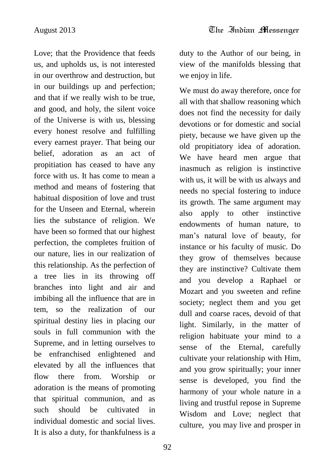Love; that the Providence that feeds us, and upholds us, is not interested in our overthrow and destruction, but in our buildings up and perfection; and that if we really wish to be true, and good, and holy, the silent voice of the Universe is with us, blessing every honest resolve and fulfilling every earnest prayer. That being our belief, adoration as an act of propitiation has ceased to have any force with us. It has come to mean a method and means of fostering that habitual disposition of love and trust for the Unseen and Eternal, wherein lies the substance of religion. We have been so formed that our highest perfection, the completes fruition of our nature, lies in our realization of this relationship. As the perfection of a tree lies in its throwing off branches into light and air and imbibing all the influence that are in tem, so the realization of our spiritual destiny lies in placing our souls in full communion with the Supreme, and in letting ourselves to be enfranchised enlightened and elevated by all the influences that flow there from. Worship or adoration is the means of promoting that spiritual communion, and as such should be cultivated in individual domestic and social lives. It is also a duty, for thankfulness is a

92

duty to the Author of our being, in view of the manifolds blessing that we enjoy in life.

We must do away therefore, once for all with that shallow reasoning which does not find the necessity for daily devotions or for domestic and social piety, because we have given up the old propitiatory idea of adoration. We have heard men argue that inasmuch as religion is instinctive with us, it will be with us always and needs no special fostering to induce its growth. The same argument may also apply to other instinctive endowments of human nature, to man"s natural love of beauty, for instance or his faculty of music. Do they grow of themselves because they are instinctive? Cultivate them and you develop a Raphael or Mozart and you sweeten and refine society; neglect them and you get dull and coarse races, devoid of that light. Similarly, in the matter of religion habituate your mind to a sense of the Eternal, carefully cultivate your relationship with Him, and you grow spiritually; your inner sense is developed, you find the harmony of your whole nature in a living and trustful repose in Supreme Wisdom and Love; neglect that culture, you may live and prosper in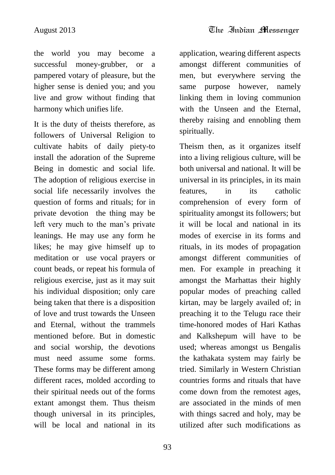the world you may become a successful money-grubber, or a pampered votary of pleasure, but the higher sense is denied you; and you live and grow without finding that harmony which unifies life.

It is the duty of theists therefore, as followers of Universal Religion to cultivate habits of daily piety-to install the adoration of the Supreme Being in domestic and social life. The adoption of religious exercise in social life necessarily involves the question of forms and rituals; for in private devotion the thing may be left very much to the man"s private leanings. He may use any form he likes; he may give himself up to meditation or use vocal prayers or count beads, or repeat his formula of religious exercise, just as it may suit his individual disposition; only care being taken that there is a disposition of love and trust towards the Unseen and Eternal, without the trammels mentioned before. But in domestic and social worship, the devotions must need assume some forms. These forms may be different among different races, molded according to their spiritual needs out of the forms extant amongst them. Thus theism though universal in its principles, will be local and national in its

93

application, wearing different aspects amongst different communities of men, but everywhere serving the same purpose however, namely linking them in loving communion with the Unseen and the Eternal, thereby raising and ennobling them spiritually.

Theism then, as it organizes itself into a living religious culture, will be both universal and national. It will be universal in its principles, in its main features, in its catholic comprehension of every form of spirituality amongst its followers; but it will be local and national in its modes of exercise in its forms and rituals, in its modes of propagation amongst different communities of men. For example in preaching it amongst the Marhattas their highly popular modes of preaching called kirtan, may be largely availed of; in preaching it to the Telugu race their time-honored modes of Hari Kathas and Kalkshepum will have to be used; whereas amongst us Bengalis the kathakata system may fairly be tried. Similarly in Western Christian countries forms and rituals that have come down from the remotest ages, are associated in the minds of men with things sacred and holy, may be utilized after such modifications as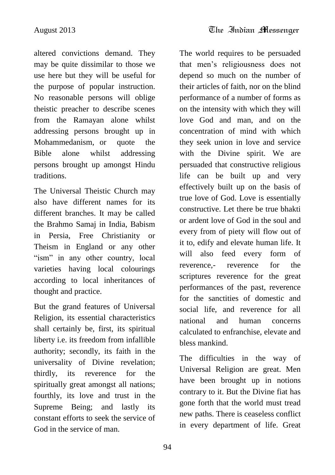altered convictions demand. They may be quite dissimilar to those we use here but they will be useful for the purpose of popular instruction. No reasonable persons will oblige theistic preacher to describe scenes from the Ramayan alone whilst addressing persons brought up in Mohammedanism, or quote the Bible alone whilst addressing persons brought up amongst Hindu traditions.

The Universal Theistic Church may also have different names for its different branches. It may be called the Brahmo Samaj in India, Babism in Persia, Free Christianity or Theism in England or any other "ism" in any other country, local varieties having local colourings according to local inheritances of thought and practice.

But the grand features of Universal Religion, its essential characteristics shall certainly be, first, its spiritual liberty i.e. its freedom from infallible authority; secondly, its faith in the universality of Divine revelation; thirdly, its reverence for the spiritually great amongst all nations; fourthly, its love and trust in the Supreme Being; and lastly its constant efforts to seek the service of God in the service of man.

The world requires to be persuaded that men"s religiousness does not depend so much on the number of their articles of faith, nor on the blind performance of a number of forms as on the intensity with which they will love God and man, and on the concentration of mind with which they seek union in love and service with the Divine spirit. We are persuaded that constructive religious life can be built up and very effectively built up on the basis of true love of God. Love is essentially constructive. Let there be true bhakti or ardent love of God in the soul and every from of piety will flow out of it to, edify and elevate human life. It will also feed every form of reverence,- reverence for the scriptures reverence for the great performances of the past, reverence for the sanctities of domestic and social life, and reverence for all national and human concerns calculated to enfranchise, elevate and bless mankind.

The difficulties in the way of Universal Religion are great. Men have been brought up in notions contrary to it. But the Divine fiat has gone forth that the world must tread new paths. There is ceaseless conflict in every department of life. Great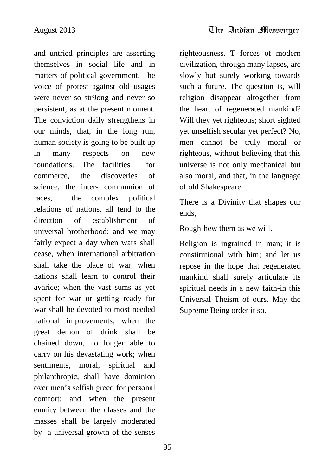and untried principles are asserting themselves in social life and in matters of political government. The voice of protest against old usages were never so str9ong and never so persistent, as at the present moment. The conviction daily strengthens in our minds, that, in the long run, human society is going to be built up in many respects on new foundations. The facilities for commerce, the discoveries of science, the inter- communion of races, the complex political relations of nations, all tend to the direction of establishment of universal brotherhood; and we may fairly expect a day when wars shall cease, when international arbitration shall take the place of war; when nations shall learn to control their avarice; when the vast sums as yet spent for war or getting ready for war shall be devoted to most needed national improvements; when the great demon of drink shall be chained down, no longer able to carry on his devastating work; when sentiments, moral, spiritual and philanthropic, shall have dominion over men"s selfish greed for personal comfort; and when the present enmity between the classes and the masses shall be largely moderated by a universal growth of the senses

righteousness. T forces of modern civilization, through many lapses, are slowly but surely working towards such a future. The question is, will religion disappear altogether from the heart of regenerated mankind? Will they yet righteous; short sighted yet unselfish secular yet perfect? No, men cannot be truly moral or righteous, without believing that this universe is not only mechanical but also moral, and that, in the language of old Shakespeare:

There is a Divinity that shapes our ends,

Rough-hew them as we will.

Religion is ingrained in man; it is constitutional with him; and let us repose in the hope that regenerated mankind shall surely articulate its spiritual needs in a new faith-in this Universal Theism of ours. May the Supreme Being order it so.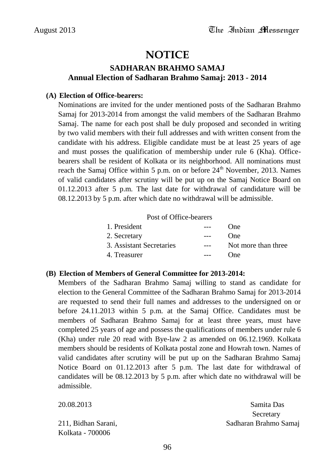## **NOTICE**

#### **SADHARAN BRAHMO SAMAJ Annual Election of Sadharan Brahmo Samaj: 2013 - 2014**

#### **(A) Election of Office-bearers:**

Nominations are invited for the under mentioned posts of the Sadharan Brahmo Samaj for 2013-2014 from amongst the valid members of the Sadharan Brahmo Samaj. The name for each post shall be duly proposed and seconded in writing by two valid members with their full addresses and with written consent from the candidate with his address. Eligible candidate must be at least 25 years of age and must posses the qualification of membership under rule 6 (Kha). Officebearers shall be resident of Kolkata or its neighborhood. All nominations must reach the Samaj Office within 5 p.m. on or before  $24<sup>th</sup>$  November, 2013. Names of valid candidates after scrutiny will be put up on the Samaj Notice Board on 01.12.2013 after 5 p.m. The last date for withdrawal of candidature will be 08.12.2013 by 5 p.m. after which date no withdrawal will be admissible.

Post of Office-bearers

| 1. President             | $\frac{1}{2}$ | One                 |
|--------------------------|---------------|---------------------|
| 2. Secretary             | $---$         | <b>One</b>          |
| 3. Assistant Secretaries | $---$         | Not more than three |
| 4. Treasurer             | $---$         | One                 |

#### **(B) Election of Members of General Committee for 2013-2014:**

Members of the Sadharan Brahmo Samaj willing to stand as candidate for election to the General Committee of the Sadharan Brahmo Samaj for 2013-2014 are requested to send their full names and addresses to the undersigned on or before 24.11.2013 within 5 p.m. at the Samaj Office. Candidates must be members of Sadharan Brahmo Samaj for at least three years, must have completed 25 years of age and possess the qualifications of members under rule 6 (Kha) under rule 20 read with Bye-law 2 as amended on 06.12.1969. Kolkata members should be residents of Kolkata postal zone and Howrah town. Names of valid candidates after scrutiny will be put up on the Sadharan Brahmo Samaj Notice Board on 01.12.2013 after 5 p.m. The last date for withdrawal of candidates will be 08.12.2013 by 5 p.m. after which date no withdrawal will be admissible.

| 20.08.2013          | Samita Das            |
|---------------------|-----------------------|
|                     | Secretary             |
| 211, Bidhan Sarani, | Sadharan Brahmo Samaj |
| Kolkata - 700006    |                       |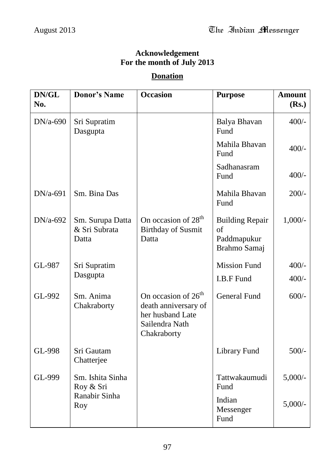#### **Acknowledgement For the month of July 2013**

#### **Donation**

| DN/GL<br>No. | <b>Donor's Name</b>                        | <b>Occasion</b>                                                                                              | <b>Purpose</b>                                              | <b>Amount</b><br>(Rs.) |
|--------------|--------------------------------------------|--------------------------------------------------------------------------------------------------------------|-------------------------------------------------------------|------------------------|
| $DN/a-690$   | Sri Supratim<br>Dasgupta                   |                                                                                                              | Balya Bhavan<br>Fund                                        | $400/-$                |
|              |                                            |                                                                                                              | Mahila Bhavan<br>Fund                                       | $400/-$                |
|              |                                            |                                                                                                              | Sadhanasram<br>Fund                                         | $400/-$                |
| $DN/a-691$   | Sm. Bina Das                               |                                                                                                              | Mahila Bhavan<br>Fund                                       | $200/-$                |
| $DN/a-692$   | Sm. Surupa Datta<br>& Sri Subrata<br>Datta | On occasion of $28th$<br><b>Birthday of Susmit</b><br>Datta                                                  | <b>Building Repair</b><br>of<br>Paddmapukur<br>Brahmo Samaj | $1,000/-$              |
| GL-987       | Sri Supratim<br>Dasgupta                   |                                                                                                              | <b>Mission Fund</b><br>I.B.F Fund                           | $400/-$<br>$400/-$     |
| GL-992       | Sm. Anima<br>Chakraborty                   | On occasion of 26 <sup>th</sup><br>death anniversary of<br>her husband Late<br>Sailendra Nath<br>Chakraborty | <b>General Fund</b>                                         | $600/-$                |
| GL-998       | Sri Gautam<br>Chatterjee                   |                                                                                                              | <b>Library Fund</b>                                         | $500/-$                |
| GL-999       | Sm. Ishita Sinha<br>Roy & Sri              |                                                                                                              | Tattwakaumudi<br>Fund                                       | $5,000/-$              |
|              | Ranabir Sinha<br>Roy                       |                                                                                                              | Indian<br>Messenger<br>Fund                                 | $5,000/-$              |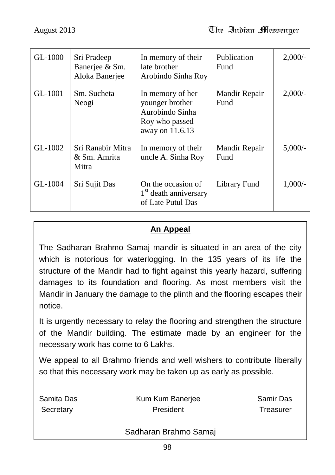| GL-1000 | Sri Pradeep<br>Banerjee & Sm.<br>Aloka Banerjee | In memory of their<br>late brother<br>Arobindo Sinha Roy                                    | Publication<br>Fund   | $2,000/-$ |
|---------|-------------------------------------------------|---------------------------------------------------------------------------------------------|-----------------------|-----------|
| GL-1001 | Sm. Sucheta<br>Neogi                            | In memory of her<br>younger brother<br>Aurobindo Sinha<br>Roy who passed<br>away on 11.6.13 | Mandir Repair<br>Fund | $2,000/-$ |
| GL-1002 | Sri Ranabir Mitra<br>& Sm. Amrita<br>Mitra      | In memory of their<br>uncle A. Sinha Roy                                                    | Mandir Repair<br>Fund | 5,000/    |
| GL-1004 | Sri Sujit Das                                   | On the occasion of<br>1 <sup>st</sup> death anniversary<br>of Late Putul Das                | Library Fund          | $1,000/-$ |

## **An Appeal**

The Sadharan Brahmo Samaj mandir is situated in an area of the city which is notorious for waterlogging. In the 135 years of its life the structure of the Mandir had to fight against this yearly hazard, suffering damages to its foundation and flooring. As most members visit the Mandir in January the damage to the plinth and the flooring escapes their notice.

It is urgently necessary to relay the flooring and strengthen the structure of the Mandir building. The estimate made by an engineer for the necessary work has come to 6 Lakhs.

We appeal to all Brahmo friends and well wishers to contribute liberally so that this necessary work may be taken up as early as possible.

| Samita Das             | Kum Kum Banerjee | Samir Das |
|------------------------|------------------|-----------|
| President<br>Secretary |                  | Treasurer |
|                        |                  |           |

#### Sadharan Brahmo Samaj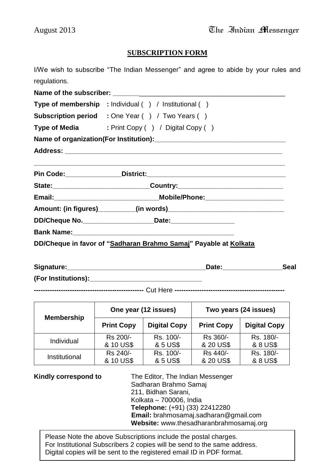#### **SUBSCRIPTION FORM**

I/We wish to subscribe "The Indian Messenger" and agree to abide by your rules and regulations.

**Name of the subscriber: with the subscriber with the subscriber with the subscriber with the subscriber with the subscriber with the subscriber with the subscriber with the subscriber with the subscriber Type of membership :** Individual ( ) / Institutional ( ) **Subscription period :** One Year ( ) / Two Years ( ) **Type of Media** : Print Copy ( ) / Digital Copy ( ) **Name of organization(For Institution):\_\_\_\_\_\_\_\_\_\_\_\_\_\_\_\_\_\_\_\_\_\_\_\_\_\_\_\_\_\_\_\_\_\_\_ Address: \_\_\_\_\_\_\_\_\_\_\_\_\_\_\_\_\_\_\_\_\_\_\_\_\_\_\_\_\_\_\_\_\_\_\_\_\_\_\_\_\_\_\_\_\_\_\_\_\_\_\_\_\_\_\_\_\_\_ \_\_\_\_\_\_\_\_\_\_\_\_\_\_\_\_\_\_\_\_\_\_\_\_\_\_\_\_\_\_\_\_\_\_\_\_\_\_\_\_\_\_\_\_\_\_\_\_\_\_\_\_\_\_\_\_\_\_\_\_\_\_\_\_\_\_\_ Pin Code:\_\_\_\_\_\_\_\_\_\_\_\_\_\_\_District:\_\_\_\_\_\_\_\_\_\_\_\_\_\_\_\_\_\_\_\_\_\_\_\_\_\_\_\_\_\_\_\_\_\_\_\_\_ State:\_\_\_\_\_\_\_\_\_\_\_\_\_\_\_\_\_\_\_\_\_\_\_\_\_\_Country:\_\_\_\_\_\_\_\_\_\_\_\_\_\_\_\_\_\_\_\_\_\_\_\_\_\_\_\_ Email:\_\_\_\_\_\_\_\_\_\_\_\_\_\_\_\_\_\_\_\_\_\_\_\_\_\_\_\_Mobile/Phone:\_\_\_\_\_\_\_\_\_\_\_\_\_\_\_\_\_\_\_\_\_ Amount: (in figures)\_\_\_\_\_\_\_\_\_\_(in words)\_\_\_\_\_\_\_\_\_\_\_\_\_\_\_\_\_\_\_\_\_\_\_\_\_\_\_\_\_\_\_ DD/Cheque No.\_\_\_\_\_\_\_\_\_\_\_\_\_\_\_\_\_\_\_Date:\_\_\_\_\_\_\_\_\_\_\_\_\_\_\_\_\_ Bank Name: DD/Cheque in favor of "Sadharan Brahmo Samaj" Payable at Kolkata**

| Signature:          | Date | Seal |
|---------------------|------|------|
| (For Institutions): |      |      |

**-------------------------------------------------** Cut Here **-------------------------------------------------**

| <b>Membership</b> | One year (12 issues) |                     | Two years (24 issues) |                     |
|-------------------|----------------------|---------------------|-----------------------|---------------------|
|                   | <b>Print Copy</b>    | <b>Digital Copy</b> | <b>Print Copy</b>     | <b>Digital Copy</b> |
| Individual        | Rs 200/-             | Rs. 100/-           | Rs 360/-              | Rs. 180/-           |
|                   | & 10 US\$            | & 5 US\$            | & 20 US\$             | & 8 US\$            |
| Institutional     | Rs 240/-             | Rs. 100/-           | Rs 440/-              | Rs. 180/-           |
|                   | & 10 US\$            | & 5 US\$            | & 20 US\$             | & 8 US\$            |

**Kindly correspond to** The Editor, The Indian Messenger Sadharan Brahmo Samaj 211, Bidhan Sarani, Kolkata – 700006, India **Telephone:** (+91) (33) 22412280 **Email:** brahmosamaj.sadharan@gmail.com

**Website:** www.thesadharanbrahmosamaj.org

For Institutional Subscribers 2 copies will be send to the same address.<br>Dirital conics will be sent to the serieteral small ID in DDE fermet. Please Note the above Subscriptions include the postal charges. Digital copies will be sent to the registered email ID in PDF format.